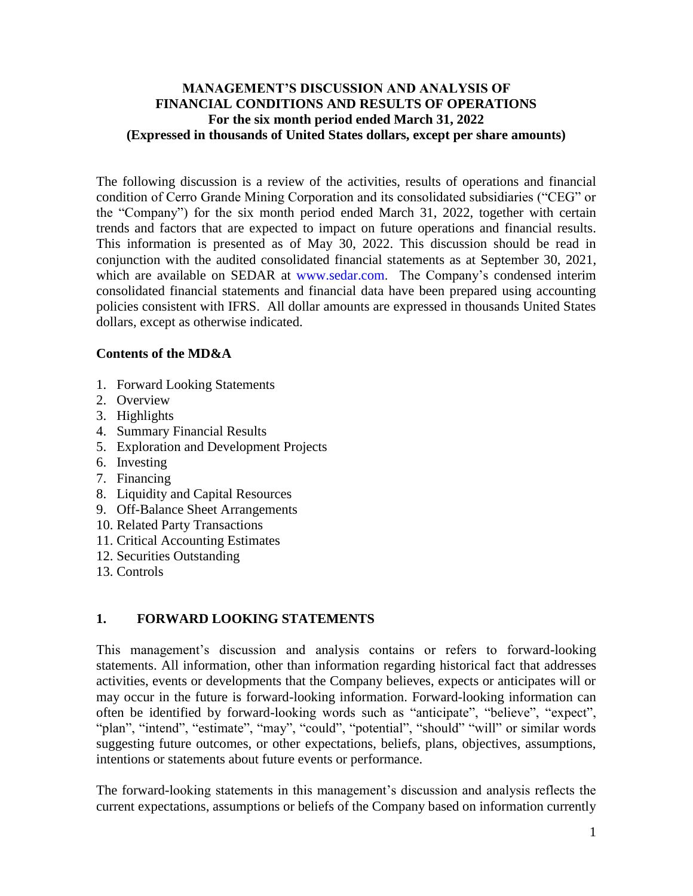### **MANAGEMENT'S DISCUSSION AND ANALYSIS OF FINANCIAL CONDITIONS AND RESULTS OF OPERATIONS For the six month period ended March 31, 2022 (Expressed in thousands of United States dollars, except per share amounts)**

The following discussion is a review of the activities, results of operations and financial condition of Cerro Grande Mining Corporation and its consolidated subsidiaries ("CEG" or the "Company") for the six month period ended March 31, 2022, together with certain trends and factors that are expected to impact on future operations and financial results. This information is presented as of May 30, 2022. This discussion should be read in conjunction with the audited consolidated financial statements as at September 30, 2021, which are available on SEDAR at www.sedar.com. The Company's condensed interim consolidated financial statements and financial data have been prepared using accounting policies consistent with IFRS. All dollar amounts are expressed in thousands United States dollars, except as otherwise indicated.

# **Contents of the MD&A**

- 1. Forward Looking Statements
- 2. Overview
- 3. Highlights
- 4. Summary Financial Results
- 5. Exploration and Development Projects
- 6. Investing
- 7. Financing
- 8. Liquidity and Capital Resources
- 9. Off-Balance Sheet Arrangements
- 10. Related Party Transactions
- 11. Critical Accounting Estimates
- 12. Securities Outstanding
- 13. Controls

# **1. FORWARD LOOKING STATEMENTS**

This management's discussion and analysis contains or refers to forward-looking statements. All information, other than information regarding historical fact that addresses activities, events or developments that the Company believes, expects or anticipates will or may occur in the future is forward-looking information. Forward-looking information can often be identified by forward-looking words such as "anticipate", "believe", "expect", "plan", "intend", "estimate", "may", "could", "potential", "should" "will" or similar words suggesting future outcomes, or other expectations, beliefs, plans, objectives, assumptions, intentions or statements about future events or performance.

The forward-looking statements in this management's discussion and analysis reflects the current expectations, assumptions or beliefs of the Company based on information currently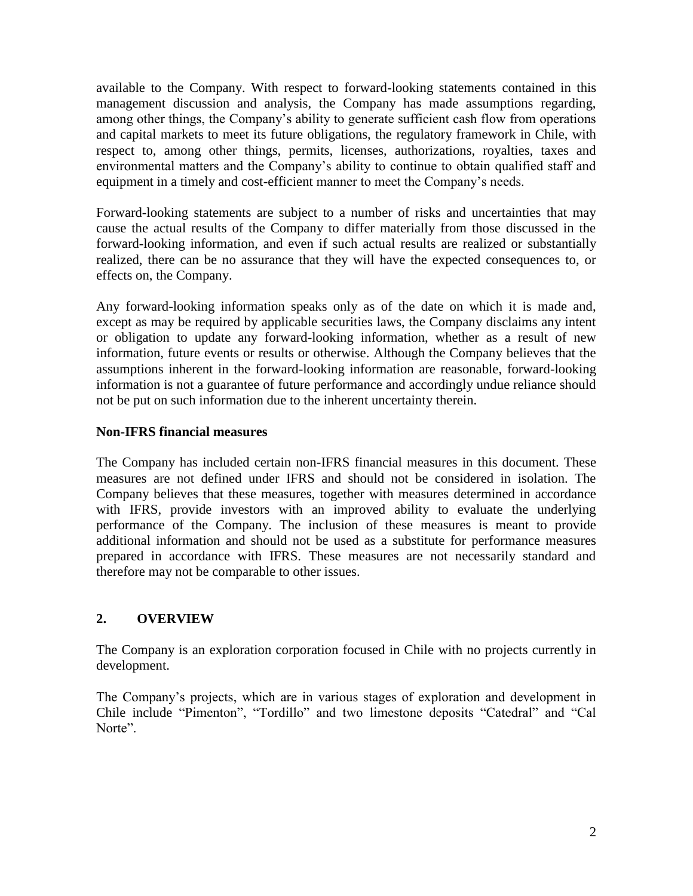available to the Company. With respect to forward-looking statements contained in this management discussion and analysis, the Company has made assumptions regarding, among other things, the Company's ability to generate sufficient cash flow from operations and capital markets to meet its future obligations, the regulatory framework in Chile, with respect to, among other things, permits, licenses, authorizations, royalties, taxes and environmental matters and the Company's ability to continue to obtain qualified staff and equipment in a timely and cost-efficient manner to meet the Company's needs.

Forward-looking statements are subject to a number of risks and uncertainties that may cause the actual results of the Company to differ materially from those discussed in the forward-looking information, and even if such actual results are realized or substantially realized, there can be no assurance that they will have the expected consequences to, or effects on, the Company.

Any forward-looking information speaks only as of the date on which it is made and, except as may be required by applicable securities laws, the Company disclaims any intent or obligation to update any forward-looking information, whether as a result of new information, future events or results or otherwise. Although the Company believes that the assumptions inherent in the forward-looking information are reasonable, forward-looking information is not a guarantee of future performance and accordingly undue reliance should not be put on such information due to the inherent uncertainty therein.

# **Non-IFRS financial measures**

The Company has included certain non-IFRS financial measures in this document. These measures are not defined under IFRS and should not be considered in isolation. The Company believes that these measures, together with measures determined in accordance with IFRS, provide investors with an improved ability to evaluate the underlying performance of the Company. The inclusion of these measures is meant to provide additional information and should not be used as a substitute for performance measures prepared in accordance with IFRS. These measures are not necessarily standard and therefore may not be comparable to other issues.

# **2. OVERVIEW**

The Company is an exploration corporation focused in Chile with no projects currently in development.

The Company's projects, which are in various stages of exploration and development in Chile include "Pimenton", "Tordillo" and two limestone deposits "Catedral" and "Cal Norte".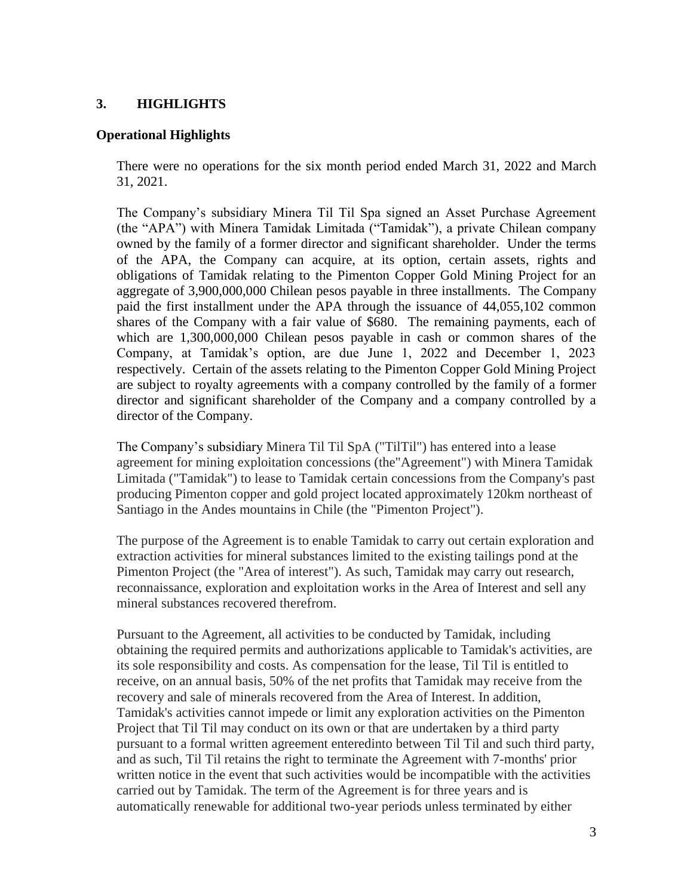### **3. HIGHLIGHTS**

#### **Operational Highlights**

There were no operations for the six month period ended March 31, 2022 and March 31, 2021.

The Company's subsidiary Minera Til Til Spa signed an Asset Purchase Agreement (the "APA") with Minera Tamidak Limitada ("Tamidak"), a private Chilean company owned by the family of a former director and significant shareholder. Under the terms of the APA, the Company can acquire, at its option, certain assets, rights and obligations of Tamidak relating to the Pimenton Copper Gold Mining Project for an aggregate of 3,900,000,000 Chilean pesos payable in three installments. The Company paid the first installment under the APA through the issuance of 44,055,102 common shares of the Company with a fair value of \$680. The remaining payments, each of which are 1,300,000,000 Chilean pesos payable in cash or common shares of the Company, at Tamidak's option, are due June 1, 2022 and December 1, 2023 respectively. Certain of the assets relating to the Pimenton Copper Gold Mining Project are subject to royalty agreements with a company controlled by the family of a former director and significant shareholder of the Company and a company controlled by a director of the Company.

The Company's subsidiary Minera Til Til SpA ("TilTil") has entered into a lease agreement for mining exploitation concessions (the"Agreement") with Minera Tamidak Limitada ("Tamidak") to lease to Tamidak certain concessions from the Company's past producing Pimenton copper and gold project located approximately 120km northeast of Santiago in the Andes mountains in Chile (the "Pimenton Project").

The purpose of the Agreement is to enable Tamidak to carry out certain exploration and extraction activities for mineral substances limited to the existing tailings pond at the Pimenton Project (the "Area of interest"). As such, Tamidak may carry out research, reconnaissance, exploration and exploitation works in the Area of Interest and sell any mineral substances recovered therefrom.

Pursuant to the Agreement, all activities to be conducted by Tamidak, including obtaining the required permits and authorizations applicable to Tamidak's activities, are its sole responsibility and costs. As compensation for the lease, Til Til is entitled to receive, on an annual basis, 50% of the net profits that Tamidak may receive from the recovery and sale of minerals recovered from the Area of Interest. In addition, Tamidak's activities cannot impede or limit any exploration activities on the Pimenton Project that Til Til may conduct on its own or that are undertaken by a third party pursuant to a formal written agreement enteredinto between Til Til and such third party, and as such, Til Til retains the right to terminate the Agreement with 7-months' prior written notice in the event that such activities would be incompatible with the activities carried out by Tamidak. The term of the Agreement is for three years and is automatically renewable for additional two-year periods unless terminated by either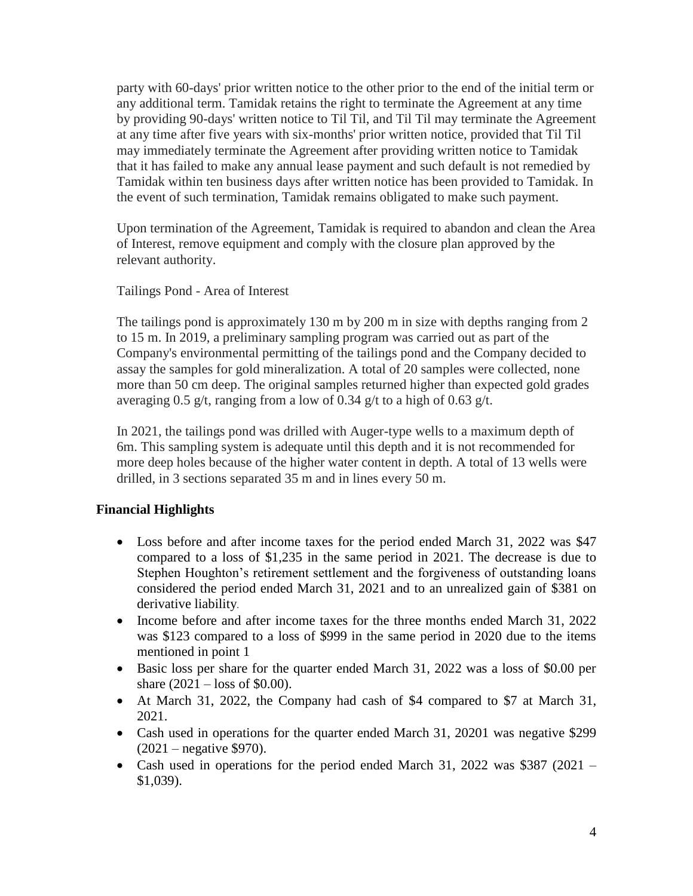party with 60-days' prior written notice to the other prior to the end of the initial term or any additional term. Tamidak retains the right to terminate the Agreement at any time by providing 90-days' written notice to Til Til, and Til Til may terminate the Agreement at any time after five years with six-months' prior written notice, provided that Til Til may immediately terminate the Agreement after providing written notice to Tamidak that it has failed to make any annual lease payment and such default is not remedied by Tamidak within ten business days after written notice has been provided to Tamidak. In the event of such termination, Tamidak remains obligated to make such payment.

Upon termination of the Agreement, Tamidak is required to abandon and clean the Area of Interest, remove equipment and comply with the closure plan approved by the relevant authority.

Tailings Pond - Area of Interest

The tailings pond is approximately 130 m by 200 m in size with depths ranging from 2 to 15 m. In 2019, a preliminary sampling program was carried out as part of the Company's environmental permitting of the tailings pond and the Company decided to assay the samples for gold mineralization. A total of 20 samples were collected, none more than 50 cm deep. The original samples returned higher than expected gold grades averaging 0.5 g/t, ranging from a low of 0.34 g/t to a high of 0.63 g/t.

In 2021, the tailings pond was drilled with Auger-type wells to a maximum depth of 6m. This sampling system is adequate until this depth and it is not recommended for more deep holes because of the higher water content in depth. A total of 13 wells were drilled, in 3 sections separated 35 m and in lines every 50 m.

# **Financial Highlights**

- Loss before and after income taxes for the period ended March 31, 2022 was \$47 compared to a loss of \$1,235 in the same period in 2021. The decrease is due to Stephen Houghton's retirement settlement and the forgiveness of outstanding loans considered the period ended March 31, 2021 and to an unrealized gain of \$381 on derivative liability.
- Income before and after income taxes for the three months ended March 31, 2022 was \$123 compared to a loss of \$999 in the same period in 2020 due to the items mentioned in point 1
- Basic loss per share for the quarter ended March 31, 2022 was a loss of \$0.00 per share (2021 – loss of \$0.00).
- At March 31, 2022, the Company had cash of \$4 compared to \$7 at March 31, 2021.
- Cash used in operations for the quarter ended March 31, 20201 was negative \$299 (2021 – negative \$970).
- Cash used in operations for the period ended March 31, 2022 was \$387 (2021 \$1,039).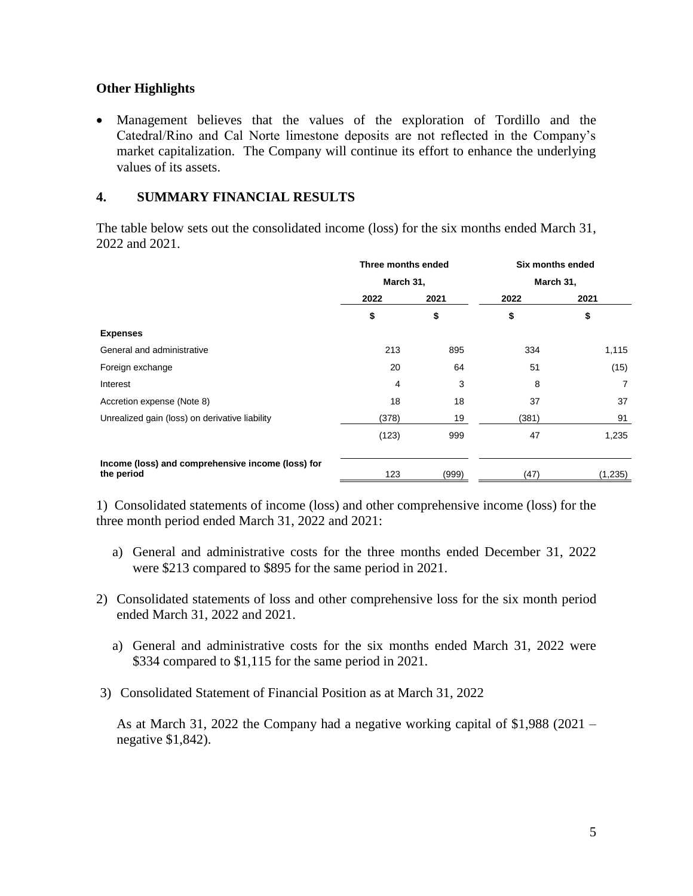# **Other Highlights**

 Management believes that the values of the exploration of Tordillo and the Catedral/Rino and Cal Norte limestone deposits are not reflected in the Company's market capitalization. The Company will continue its effort to enhance the underlying values of its assets.

### **4. SUMMARY FINANCIAL RESULTS**

The table below sets out the consolidated income (loss) for the six months ended March 31, 2022 and 2021.

|                                                                 | Three months ended<br>March 31, |       | Six months ended<br>March 31, |          |
|-----------------------------------------------------------------|---------------------------------|-------|-------------------------------|----------|
|                                                                 |                                 |       |                               |          |
|                                                                 | 2022                            | 2021  | 2022                          | 2021     |
|                                                                 | \$                              | \$    | \$                            | \$       |
| <b>Expenses</b>                                                 |                                 |       |                               |          |
| General and administrative                                      | 213                             | 895   | 334                           | 1,115    |
| Foreign exchange                                                | 20                              | 64    | 51                            | (15)     |
| Interest                                                        | 4                               | 3     | 8                             | 7        |
| Accretion expense (Note 8)                                      | 18                              | 18    | 37                            | 37       |
| Unrealized gain (loss) on derivative liability                  | (378)                           | 19    | (381)                         | 91       |
|                                                                 | (123)                           | 999   | 47                            | 1,235    |
| Income (loss) and comprehensive income (loss) for<br>the period | 123                             | (999) | (47)                          | (1, 235) |

1) Consolidated statements of income (loss) and other comprehensive income (loss) for the three month period ended March 31, 2022 and 2021:

- a) General and administrative costs for the three months ended December 31, 2022 were \$213 compared to \$895 for the same period in 2021.
- 2) Consolidated statements of loss and other comprehensive loss for the six month period ended March 31, 2022 and 2021.
	- a) General and administrative costs for the six months ended March 31, 2022 were \$334 compared to \$1,115 for the same period in 2021.
- 3) Consolidated Statement of Financial Position as at March 31, 2022

As at March 31, 2022 the Company had a negative working capital of \$1,988 (2021 – negative \$1,842).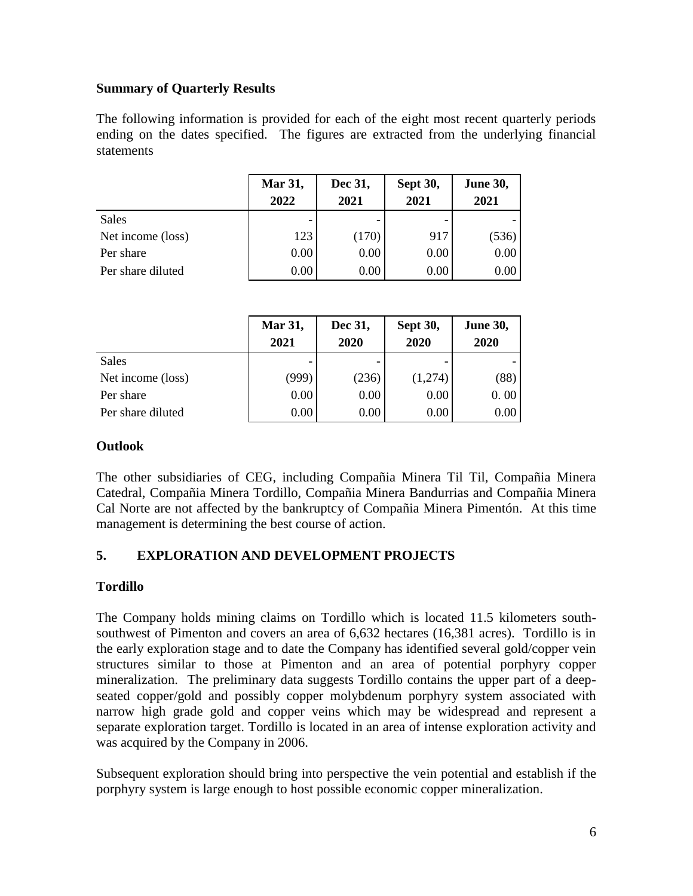# **Summary of Quarterly Results**

The following information is provided for each of the eight most recent quarterly periods ending on the dates specified. The figures are extracted from the underlying financial statements

|                   | Mar 31,<br>2022 | Dec 31,<br>2021 | <b>Sept 30,</b><br>2021 | <b>June 30,</b><br>2021 |
|-------------------|-----------------|-----------------|-------------------------|-------------------------|
| <b>Sales</b>      |                 |                 |                         |                         |
| Net income (loss) | 123             | (170)           | 917                     | (536)                   |
| Per share         | 0.00            | 0.00            | 0.00                    | 0.00                    |
| Per share diluted | 0.00            | 0.00            | 0.00                    | 0.00                    |

|                   | Mar 31,<br>2021 | Dec 31,<br>2020 | <b>Sept 30,</b><br>2020 | <b>June 30,</b><br>2020 |
|-------------------|-----------------|-----------------|-------------------------|-------------------------|
| Sales             |                 |                 |                         |                         |
| Net income (loss) | (999)           | (236)           | (1,274)                 | (88)                    |
| Per share         | 0.00            | 0.00            | 0.00                    | 0.00                    |
| Per share diluted | 0.00            | 0.00            | 0.00                    | 0.00                    |

### **Outlook**

The other subsidiaries of CEG, including Compañia Minera Til Til, Compañia Minera Catedral, Compañia Minera Tordillo, Compañia Minera Bandurrias and Compañia Minera Cal Norte are not affected by the bankruptcy of Compañia Minera Pimentón. At this time management is determining the best course of action.

# **5. EXPLORATION AND DEVELOPMENT PROJECTS**

# **Tordillo**

The Company holds mining claims on Tordillo which is located 11.5 kilometers southsouthwest of Pimenton and covers an area of 6,632 hectares (16,381 acres). Tordillo is in the early exploration stage and to date the Company has identified several gold/copper vein structures similar to those at Pimenton and an area of potential porphyry copper mineralization. The preliminary data suggests Tordillo contains the upper part of a deepseated copper/gold and possibly copper molybdenum porphyry system associated with narrow high grade gold and copper veins which may be widespread and represent a separate exploration target. Tordillo is located in an area of intense exploration activity and was acquired by the Company in 2006.

Subsequent exploration should bring into perspective the vein potential and establish if the porphyry system is large enough to host possible economic copper mineralization.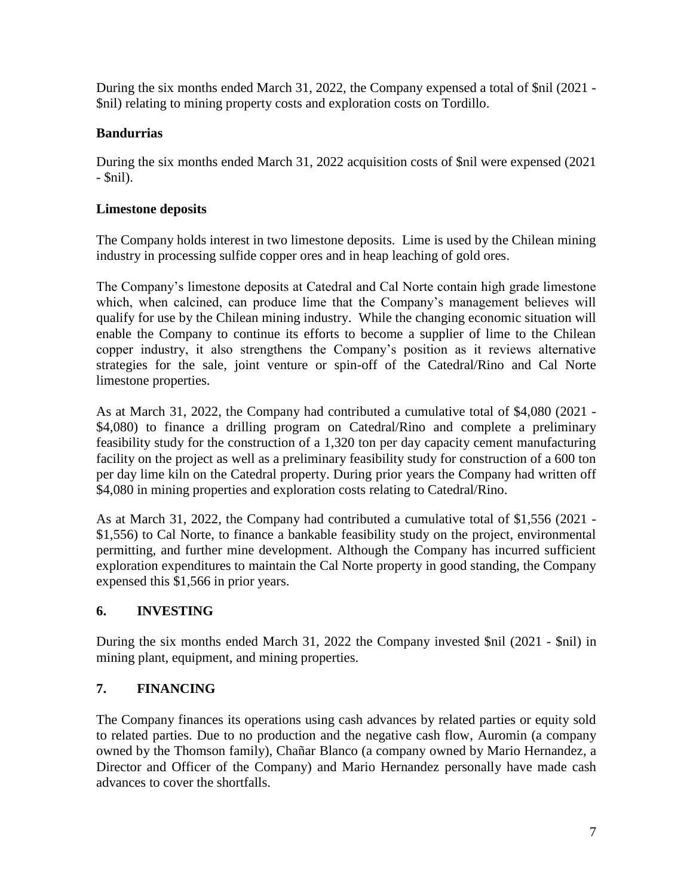During the six months ended March 31, 2022, the Company expensed a total of \$nil (2021 - \$nil) relating to mining property costs and exploration costs on Tordillo.

# **Bandurrias**

During the six months ended March 31, 2022 acquisition costs of \$nil were expensed (2021 - \$nil).

# **Limestone deposits**

The Company holds interest in two limestone deposits. Lime is used by the Chilean mining industry in processing sulfide copper ores and in heap leaching of gold ores.

The Company's limestone deposits at Catedral and Cal Norte contain high grade limestone which, when calcined, can produce lime that the Company's management believes will qualify for use by the Chilean mining industry. While the changing economic situation will enable the Company to continue its efforts to become a supplier of lime to the Chilean copper industry, it also strengthens the Company's position as it reviews alternative strategies for the sale, joint venture or spin-off of the Catedral/Rino and Cal Norte limestone properties.

As at March 31, 2022, the Company had contributed a cumulative total of \$4,080 (2021 - \$4,080) to finance a drilling program on Catedral/Rino and complete a preliminary feasibility study for the construction of a 1,320 ton per day capacity cement manufacturing facility on the project as well as a preliminary feasibility study for construction of a 600 ton per day lime kiln on the Catedral property. During prior years the Company had written off \$4,080 in mining properties and exploration costs relating to Catedral/Rino.

As at March 31, 2022, the Company had contributed a cumulative total of \$1,556 (2021 - \$1,556) to Cal Norte, to finance a bankable feasibility study on the project, environmental permitting, and further mine development. Although the Company has incurred sufficient exploration expenditures to maintain the Cal Norte property in good standing, the Company expensed this \$1,566 in prior years.

# **6. INVESTING**

During the six months ended March 31, 2022 the Company invested \$nil (2021 - \$nil) in mining plant, equipment, and mining properties.

# **7. FINANCING**

The Company finances its operations using cash advances by related parties or equity sold to related parties. Due to no production and the negative cash flow, Auromin (a company owned by the Thomson family), Chañar Blanco (a company owned by Mario Hernandez, a Director and Officer of the Company) and Mario Hernandez personally have made cash advances to cover the shortfalls.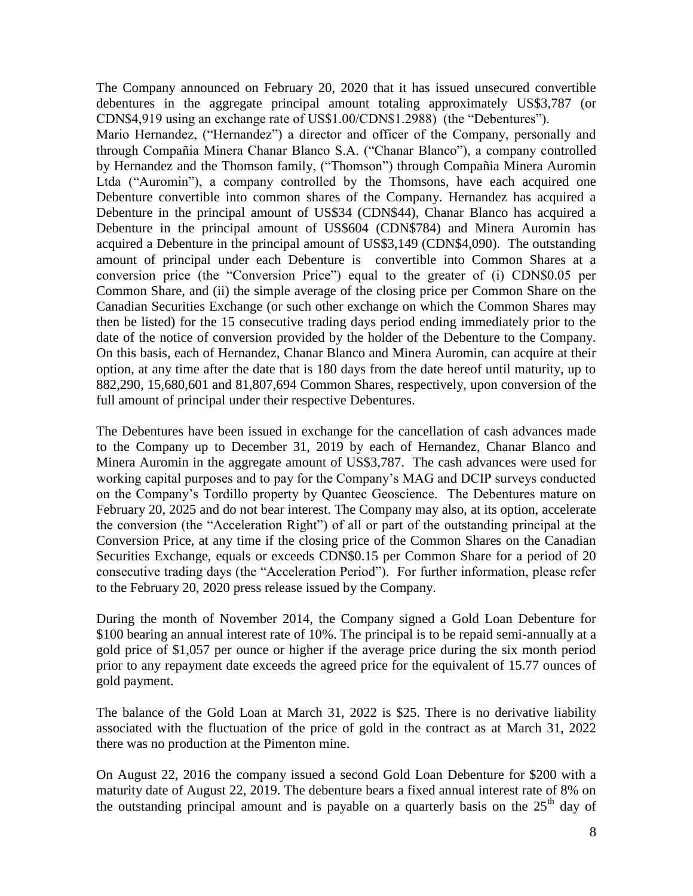The Company announced on February 20, 2020 that it has issued unsecured convertible debentures in the aggregate principal amount totaling approximately US\$3,787 (or CDN\$4,919 using an exchange rate of US\$1.00/CDN\$1.2988) (the "Debentures").

Mario Hernandez, ("Hernandez") a director and officer of the Company, personally and through Compañia Minera Chanar Blanco S.A. ("Chanar Blanco"), a company controlled by Hernandez and the Thomson family, ("Thomson") through Compañia Minera Auromin Ltda ("Auromin"), a company controlled by the Thomsons, have each acquired one Debenture convertible into common shares of the Company. Hernandez has acquired a Debenture in the principal amount of US\$34 (CDN\$44), Chanar Blanco has acquired a Debenture in the principal amount of US\$604 (CDN\$784) and Minera Auromin has acquired a Debenture in the principal amount of US\$3,149 (CDN\$4,090). The outstanding amount of principal under each Debenture is convertible into Common Shares at a conversion price (the "Conversion Price") equal to the greater of (i) CDN\$0.05 per Common Share, and (ii) the simple average of the closing price per Common Share on the Canadian Securities Exchange (or such other exchange on which the Common Shares may then be listed) for the 15 consecutive trading days period ending immediately prior to the date of the notice of conversion provided by the holder of the Debenture to the Company. On this basis, each of Hernandez, Chanar Blanco and Minera Auromin, can acquire at their option, at any time after the date that is 180 days from the date hereof until maturity, up to 882,290, 15,680,601 and 81,807,694 Common Shares, respectively, upon conversion of the full amount of principal under their respective Debentures.

The Debentures have been issued in exchange for the cancellation of cash advances made to the Company up to December 31, 2019 by each of Hernandez, Chanar Blanco and Minera Auromin in the aggregate amount of US\$3,787. The cash advances were used for working capital purposes and to pay for the Company's MAG and DCIP surveys conducted on the Company's Tordillo property by Quantec Geoscience. The Debentures mature on February 20, 2025 and do not bear interest. The Company may also, at its option, accelerate the conversion (the "Acceleration Right") of all or part of the outstanding principal at the Conversion Price, at any time if the closing price of the Common Shares on the Canadian Securities Exchange, equals or exceeds CDN\$0.15 per Common Share for a period of 20 consecutive trading days (the "Acceleration Period"). For further information, please refer to the February 20, 2020 press release issued by the Company.

During the month of November 2014, the Company signed a Gold Loan Debenture for \$100 bearing an annual interest rate of 10%. The principal is to be repaid semi-annually at a gold price of \$1,057 per ounce or higher if the average price during the six month period prior to any repayment date exceeds the agreed price for the equivalent of 15.77 ounces of gold payment.

The balance of the Gold Loan at March 31, 2022 is \$25. There is no derivative liability associated with the fluctuation of the price of gold in the contract as at March 31, 2022 there was no production at the Pimenton mine.

On August 22, 2016 the company issued a second Gold Loan Debenture for \$200 with a maturity date of August 22, 2019. The debenture bears a fixed annual interest rate of 8% on the outstanding principal amount and is payable on a quarterly basis on the  $25<sup>th</sup>$  day of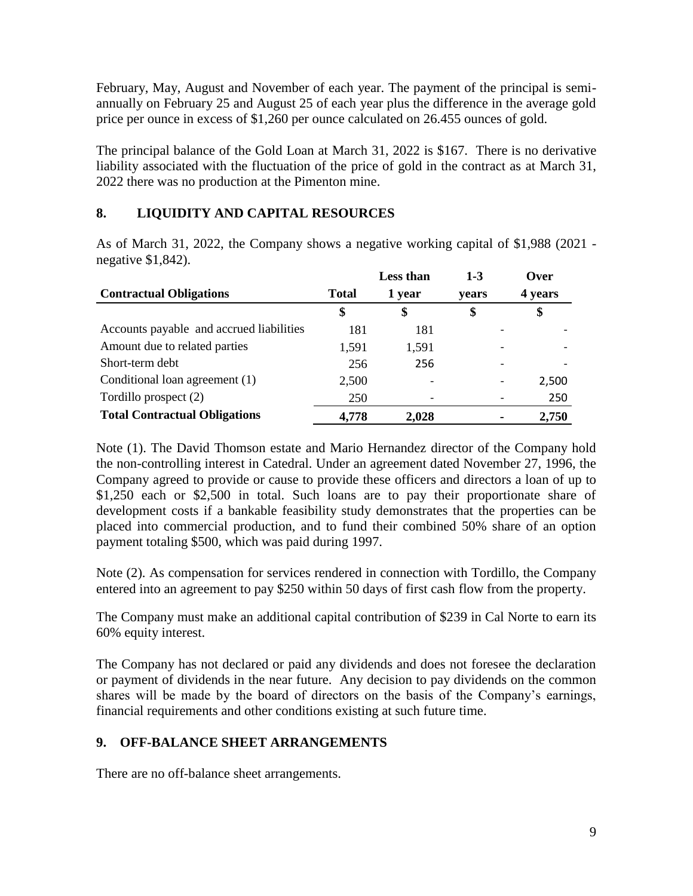February, May, August and November of each year. The payment of the principal is semiannually on February 25 and August 25 of each year plus the difference in the average gold price per ounce in excess of \$1,260 per ounce calculated on 26.455 ounces of gold.

The principal balance of the Gold Loan at March 31, 2022 is \$167. There is no derivative liability associated with the fluctuation of the price of gold in the contract as at March 31, 2022 there was no production at the Pimenton mine.

# **8. LIQUIDITY AND CAPITAL RESOURCES**

As of March 31, 2022, the Company shows a negative working capital of \$1,988 (2021 negative \$1,842).

|                                          |              | <b>Less than</b> | $1 - 3$ | Over    |
|------------------------------------------|--------------|------------------|---------|---------|
| <b>Contractual Obligations</b>           | <b>Total</b> | 1 year           | vears   | 4 years |
|                                          | \$           | \$               | \$      | \$      |
| Accounts payable and accrued liabilities | 181          | 181              |         |         |
| Amount due to related parties            | 1,591        | 1,591            |         |         |
| Short-term debt                          | 256          | 256              |         |         |
| Conditional loan agreement (1)           | 2,500        |                  |         | 2,500   |
| Tordillo prospect (2)                    | 250          |                  |         | 250     |
| <b>Total Contractual Obligations</b>     | 4,778        | 2,028            |         | 2,750   |

Note (1). The David Thomson estate and Mario Hernandez director of the Company hold the non-controlling interest in Catedral. Under an agreement dated November 27, 1996, the Company agreed to provide or cause to provide these officers and directors a loan of up to \$1,250 each or \$2,500 in total. Such loans are to pay their proportionate share of development costs if a bankable feasibility study demonstrates that the properties can be placed into commercial production, and to fund their combined 50% share of an option payment totaling \$500, which was paid during 1997.

Note (2). As compensation for services rendered in connection with Tordillo, the Company entered into an agreement to pay \$250 within 50 days of first cash flow from the property.

The Company must make an additional capital contribution of \$239 in Cal Norte to earn its 60% equity interest.

The Company has not declared or paid any dividends and does not foresee the declaration or payment of dividends in the near future. Any decision to pay dividends on the common shares will be made by the board of directors on the basis of the Company's earnings, financial requirements and other conditions existing at such future time.

# **9. OFF-BALANCE SHEET ARRANGEMENTS**

There are no off-balance sheet arrangements.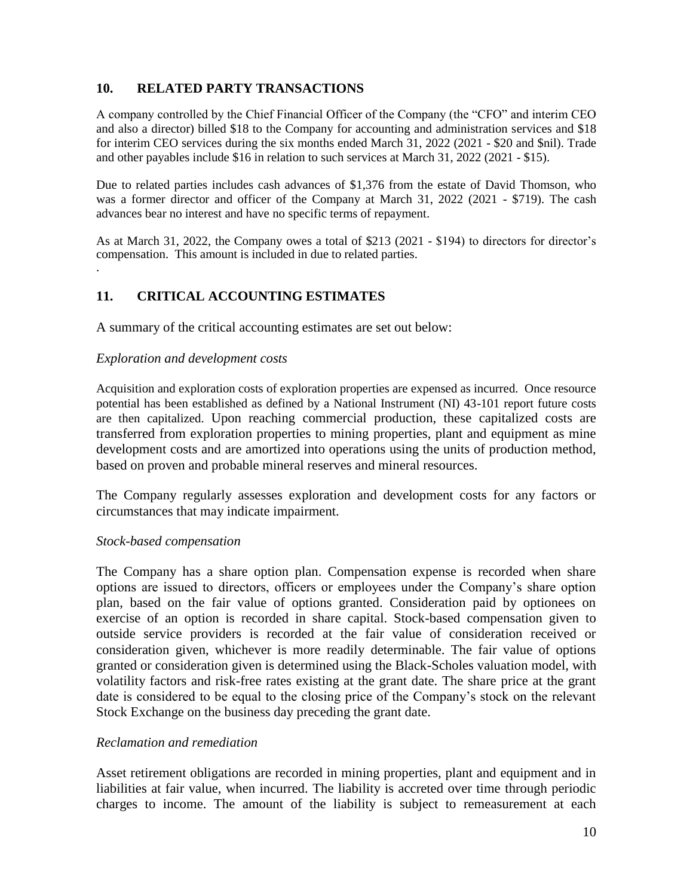### **10. RELATED PARTY TRANSACTIONS**

A company controlled by the Chief Financial Officer of the Company (the "CFO" and interim CEO and also a director) billed \$18 to the Company for accounting and administration services and \$18 for interim CEO services during the six months ended March 31, 2022 (2021 - \$20 and \$nil). Trade and other payables include \$16 in relation to such services at March 31, 2022 (2021 - \$15).

Due to related parties includes cash advances of \$1,376 from the estate of David Thomson, who was a former director and officer of the Company at March 31, 2022 (2021 - \$719). The cash advances bear no interest and have no specific terms of repayment.

As at March 31, 2022, the Company owes a total of \$213 (2021 - \$194) to directors for director's compensation. This amount is included in due to related parties. .

# **11. CRITICAL ACCOUNTING ESTIMATES**

A summary of the critical accounting estimates are set out below:

#### *Exploration and development costs*

Acquisition and exploration costs of exploration properties are expensed as incurred. Once resource potential has been established as defined by a National Instrument (NI) 43-101 report future costs are then capitalized. Upon reaching commercial production, these capitalized costs are transferred from exploration properties to mining properties, plant and equipment as mine development costs and are amortized into operations using the units of production method, based on proven and probable mineral reserves and mineral resources.

The Company regularly assesses exploration and development costs for any factors or circumstances that may indicate impairment.

#### *Stock-based compensation*

The Company has a share option plan. Compensation expense is recorded when share options are issued to directors, officers or employees under the Company's share option plan, based on the fair value of options granted. Consideration paid by optionees on exercise of an option is recorded in share capital. Stock-based compensation given to outside service providers is recorded at the fair value of consideration received or consideration given, whichever is more readily determinable. The fair value of options granted or consideration given is determined using the Black-Scholes valuation model, with volatility factors and risk-free rates existing at the grant date. The share price at the grant date is considered to be equal to the closing price of the Company's stock on the relevant Stock Exchange on the business day preceding the grant date.

### *Reclamation and remediation*

Asset retirement obligations are recorded in mining properties, plant and equipment and in liabilities at fair value, when incurred. The liability is accreted over time through periodic charges to income. The amount of the liability is subject to remeasurement at each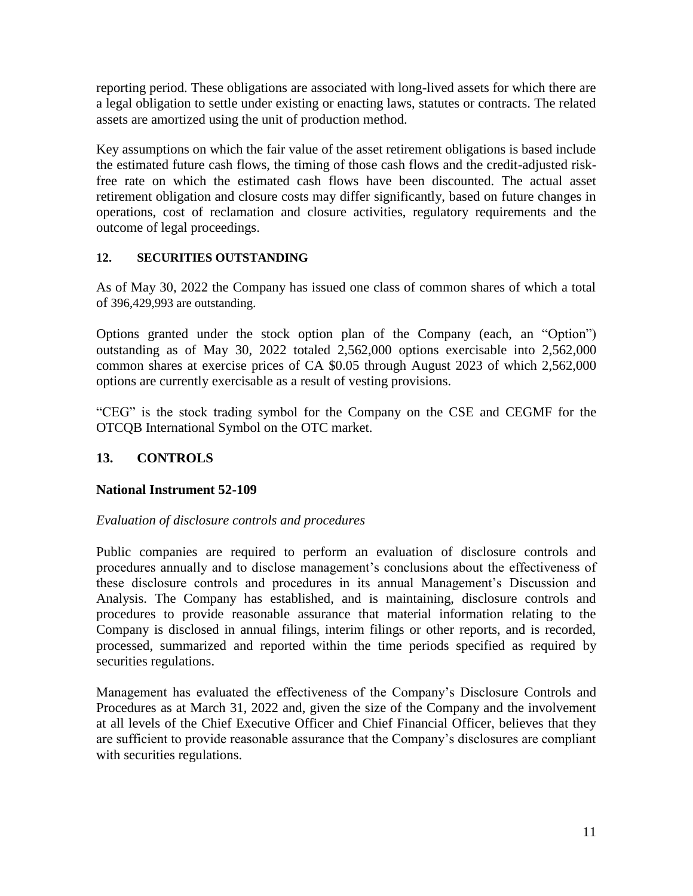reporting period. These obligations are associated with long-lived assets for which there are a legal obligation to settle under existing or enacting laws, statutes or contracts. The related assets are amortized using the unit of production method.

Key assumptions on which the fair value of the asset retirement obligations is based include the estimated future cash flows, the timing of those cash flows and the credit-adjusted riskfree rate on which the estimated cash flows have been discounted. The actual asset retirement obligation and closure costs may differ significantly, based on future changes in operations, cost of reclamation and closure activities, regulatory requirements and the outcome of legal proceedings.

# **12. SECURITIES OUTSTANDING**

As of May 30, 2022 the Company has issued one class of common shares of which a total of 396,429,993 are outstanding.

Options granted under the stock option plan of the Company (each, an "Option") outstanding as of May 30, 2022 totaled 2,562,000 options exercisable into 2,562,000 common shares at exercise prices of CA \$0.05 through August 2023 of which 2,562,000 options are currently exercisable as a result of vesting provisions.

"CEG" is the stock trading symbol for the Company on the CSE and CEGMF for the OTCQB International Symbol on the OTC market.

# **13. CONTROLS**

# **National Instrument 52-109**

# *Evaluation of disclosure controls and procedures*

Public companies are required to perform an evaluation of disclosure controls and procedures annually and to disclose management's conclusions about the effectiveness of these disclosure controls and procedures in its annual Management's Discussion and Analysis. The Company has established, and is maintaining, disclosure controls and procedures to provide reasonable assurance that material information relating to the Company is disclosed in annual filings, interim filings or other reports, and is recorded, processed, summarized and reported within the time periods specified as required by securities regulations.

Management has evaluated the effectiveness of the Company's Disclosure Controls and Procedures as at March 31, 2022 and, given the size of the Company and the involvement at all levels of the Chief Executive Officer and Chief Financial Officer, believes that they are sufficient to provide reasonable assurance that the Company's disclosures are compliant with securities regulations.